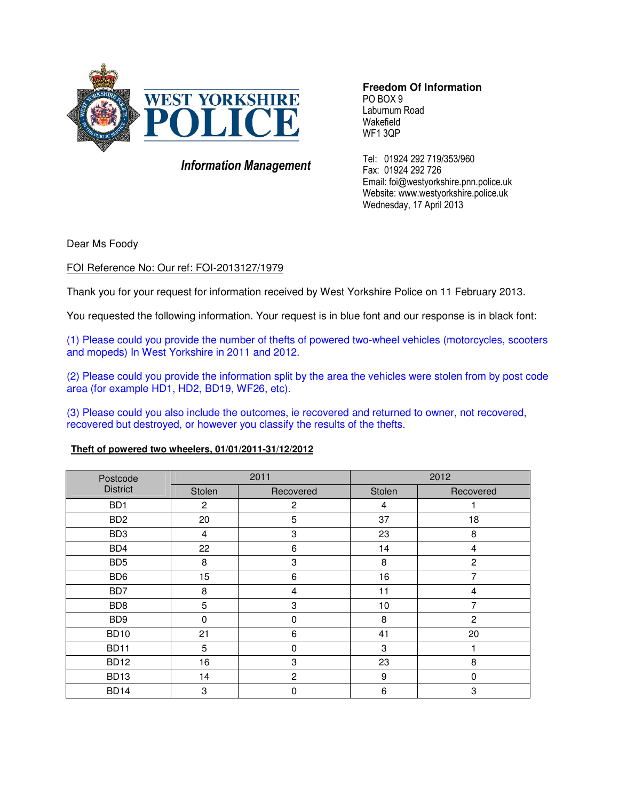

# Information Management

**Freedom Of Information**  PO BOX 9 Laburnum Road Wakefield WF1 3QP

Tel: 01924 292 719/353/960 Fax: 01924 292 726 Email: foi@westyorkshire.pnn.police.uk Website: www.westyorkshire.police.uk Wednesday, 17 April 2013

Dear Ms Foody

# FOI Reference No: Our ref: FOI-2013127/1979

Thank you for your request for information received by West Yorkshire Police on 11 February 2013.

You requested the following information. Your request is in blue font and our response is in black font:

(1) Please could you provide the number of thefts of powered two-wheel vehicles (motorcycles, scooters and mopeds) In West Yorkshire in 2011 and 2012.

(2) Please could you provide the information split by the area the vehicles were stolen from by post code area (for example HD1, HD2, BD19, WF26, etc).

(3) Please could you also include the outcomes, ie recovered and returned to owner, not recovered, recovered but destroyed, or however you classify the results of the thefts.

# **Theft of powered two wheelers, 01/01/2011-31/12/2012**

| Postcode<br><b>District</b> | 2011           |                | 2012   |                           |
|-----------------------------|----------------|----------------|--------|---------------------------|
|                             | Stolen         | Recovered      | Stolen | Recovered                 |
| B <sub>D</sub> 1            | $\overline{c}$ | 2              | 4      |                           |
| B <sub>D</sub> 2            | 20             | 5              | 37     | 18                        |
| BD <sub>3</sub>             | 4              | 3              | 23     | 8                         |
| BD4                         | 22             | 6              | 14     | 4                         |
| BD <sub>5</sub>             | 8              | 3              | 8      | $\overline{c}$            |
| BD <sub>6</sub>             | 15             | 6              | 16     | $\overline{7}$            |
| BD7                         | 8              | 4              | 11     | $\overline{4}$            |
| BD <sub>8</sub>             | 5              | 3              | 10     | 7                         |
| BD <sub>9</sub>             | 0              | 0              | 8      | $\overline{c}$            |
| <b>BD10</b>                 | 21             | 6              | 41     | 20                        |
| <b>BD11</b>                 | 5              | $\mathbf 0$    | 3      | 1                         |
| <b>BD12</b>                 | 16             | 3              | 23     | 8                         |
| <b>BD13</b>                 | 14             | $\overline{2}$ | 9      | 0                         |
| <b>BD14</b>                 | 3              | 0              | 6      | $\ensuremath{\mathsf{3}}$ |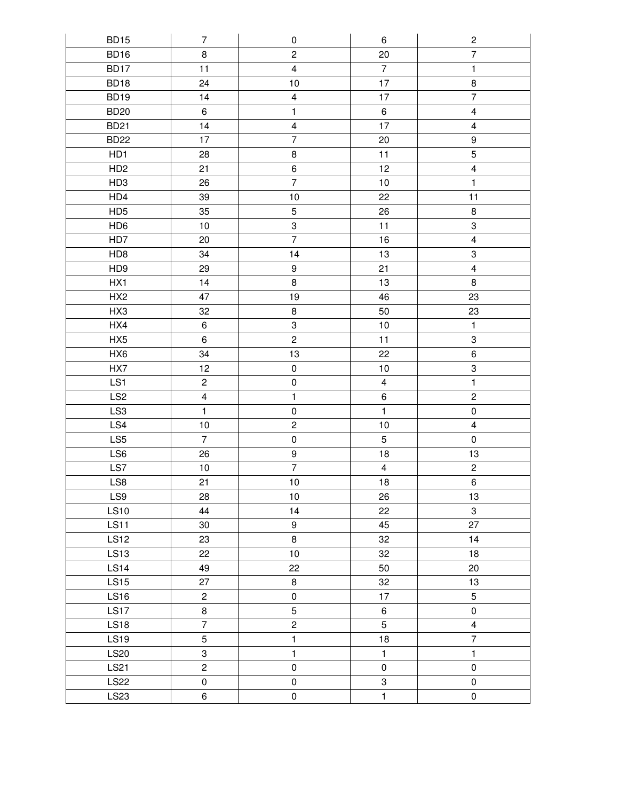| <b>BD15</b>      | $\overline{7}$          | $\pmb{0}$               | $\,6\,$                 | $\sqrt{2}$              |
|------------------|-------------------------|-------------------------|-------------------------|-------------------------|
| BD16             | 8                       | $\overline{c}$          | 20                      | $\overline{7}$          |
| BD17             | 11                      | $\overline{4}$          | $\overline{7}$          | $\mathbf{1}$            |
| BD18             | 24                      | 10                      | 17                      | $\bf 8$                 |
| BD <sub>19</sub> | 14                      | $\overline{\mathbf{4}}$ | 17                      | $\overline{7}$          |
| <b>BD20</b>      | 6                       | $\mathbf{1}$            | $\,6\,$                 | $\overline{\mathbf{4}}$ |
| <b>BD21</b>      | 14                      | $\overline{\mathbf{4}}$ | 17                      | 4                       |
| <b>BD22</b>      | 17                      | $\overline{7}$          | 20                      | 9                       |
| HD1              | 28                      | $\bf 8$                 | 11                      | 5                       |
| HD <sub>2</sub>  | 21                      | 6                       | 12                      | $\overline{\mathbf{4}}$ |
| HD <sub>3</sub>  | 26                      | $\overline{7}$          | 10                      | $\mathbf{1}$            |
| HD4              | 39                      | $10$                    | 22                      | 11                      |
| HD <sub>5</sub>  | 35                      | $\sqrt{5}$              | 26                      | 8                       |
| HD <sub>6</sub>  | $10$                    | $\,3$                   | 11                      | 3                       |
| HD7              | 20                      | $\overline{7}$          | 16                      | $\overline{\mathbf{4}}$ |
| HD <sub>8</sub>  | 34                      | 14                      | 13                      | 3                       |
| HD <sub>9</sub>  | 29                      | 9                       | 21                      | $\overline{\mathbf{4}}$ |
| HX1              | 14                      | 8                       | 13                      | 8                       |
| HX <sub>2</sub>  | 47                      | 19                      | 46                      | 23                      |
| HX3              | 32                      | 8                       | 50                      | 23                      |
| HX4              | 6                       | $\mathbf 3$             | 10                      | $\mathbf{1}$            |
| HX <sub>5</sub>  | 6                       | $\overline{c}$          | 11                      | 3                       |
| HX6              | 34                      | 13                      | 22                      | $\,6$                   |
| HX7              | 12                      | $\pmb{0}$               | $10$                    | 3                       |
| LS1              | $\overline{c}$          | $\pmb{0}$               | $\overline{\mathbf{4}}$ | $\mathbf{1}$            |
| LS <sub>2</sub>  | $\overline{\mathbf{4}}$ | $\mathbf{1}$            | $\,6\,$                 | $\mathbf{2}$            |
| LS <sub>3</sub>  | $\mathbf{1}$            | $\pmb{0}$               | $\mathbf{1}$            | $\pmb{0}$               |
| LS4              | 10                      | $\overline{c}$          | 10                      | $\overline{\mathbf{4}}$ |
| LS5              | $\overline{7}$          | $\pmb{0}$               | $\mathbf 5$             | $\pmb{0}$               |
| LS6              | 26                      | 9                       | 18                      | 13                      |
| LS7              | $10$                    | $\overline{7}$          | $\overline{\mathbf{4}}$ | $\overline{c}$          |
| LS8              | 21                      | 10                      | 18                      | 6                       |
| LS9              | 28                      | 10                      | 26                      | 13                      |
| <b>LS10</b>      | 44                      | 14                      | 22                      | $\mathbf{3}$            |
| <b>LS11</b>      | 30                      | 9                       | 45                      | 27                      |
| <b>LS12</b>      | 23                      | 8                       | 32                      | 14                      |
| <b>LS13</b>      | 22                      | 10                      | 32                      | 18                      |
| <b>LS14</b>      | 49                      | 22                      | 50                      | 20                      |
| <b>LS15</b>      | 27                      | 8                       | 32                      | 13                      |
| <b>LS16</b>      | $\overline{c}$          | $\pmb{0}$               | 17                      | 5                       |
| <b>LS17</b>      | 8                       | 5                       | 6                       | $\mathsf{O}$            |
| <b>LS18</b>      | $\overline{7}$          | $\overline{c}$          | $\overline{5}$          | $\overline{4}$          |
| <b>LS19</b>      | $\sqrt{5}$              | $\mathbf{1}$            | 18                      | $\overline{7}$          |
| <b>LS20</b>      | 3                       | $\mathbf{1}$            | $\mathbf{1}$            | $\mathbf{1}$            |
| LS21             | $\overline{c}$          | $\mathsf 0$             | $\pmb{0}$               | $\mathsf 0$             |
| <b>LS22</b>      | $\pmb{0}$               | $\pmb{0}$               | 3                       | $\mathsf{O}\xspace$     |
| LS23             | 6                       | $\pmb{0}$               | $\mathbf{1}$            | $\pmb{0}$               |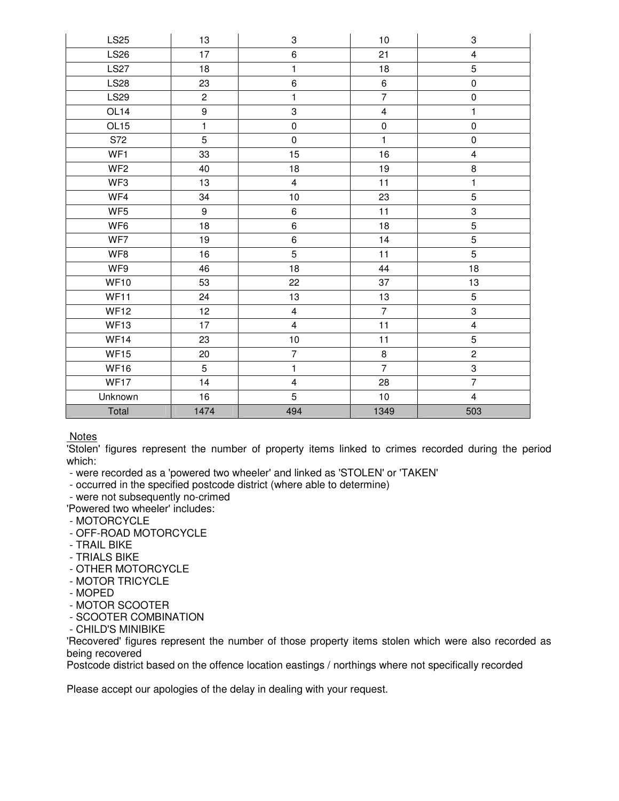| <b>LS25</b>      | 13               | 3                         | 10                      | 3                       |
|------------------|------------------|---------------------------|-------------------------|-------------------------|
| <b>LS26</b>      | 17               | $\,6\,$                   | 21                      | $\overline{\mathbf{4}}$ |
| <b>LS27</b>      | 18               | $\mathbf{1}$              | 18                      | 5                       |
| <b>LS28</b>      | 23               | $\,6$                     | $\,6\,$                 | $\pmb{0}$               |
| <b>LS29</b>      | $\overline{c}$   | $\mathbf{1}$              | $\overline{7}$          | $\pmb{0}$               |
| OL <sub>14</sub> | $\boldsymbol{9}$ | $\ensuremath{\mathsf{3}}$ | $\overline{\mathbf{4}}$ | 1                       |
| OL <sub>15</sub> | $\mathbf{1}$     | $\pmb{0}$                 | $\pmb{0}$               | $\pmb{0}$               |
| S72              | 5                | $\pmb{0}$                 | $\mathbf{1}$            | $\pmb{0}$               |
| WF1              | 33               | 15                        | 16                      | 4                       |
| WF <sub>2</sub>  | 40               | 18                        | 19                      | $\bf 8$                 |
| WF3              | 13               | $\overline{4}$            | 11                      | $\mathbf{1}$            |
| WF4              | 34               | $10\,$                    | 23                      | 5                       |
| WF <sub>5</sub>  | 9                | $\,6\,$                   | 11                      | 3                       |
| WF <sub>6</sub>  | 18               | $\,6\,$                   | 18                      | 5                       |
| WF7              | 19               | 6                         | 14                      | 5                       |
| WF8              | 16               | 5                         | 11                      | 5                       |
| WF9              | 46               | 18                        | 44                      | 18                      |
| <b>WF10</b>      | 53               | 22                        | 37                      | 13                      |
| <b>WF11</b>      | 24               | 13                        | 13                      | 5                       |
| <b>WF12</b>      | 12               | $\overline{4}$            | $\overline{7}$          | 3                       |
| WF13             | 17               | $\overline{\mathbf{4}}$   | 11                      | $\overline{\mathbf{4}}$ |
| <b>WF14</b>      | 23               | $10$                      | 11                      | 5                       |
| <b>WF15</b>      | 20               | $\overline{7}$            | $\bf 8$                 | $\mathbf{2}$            |
| <b>WF16</b>      | 5                | $\mathbf{1}$              | $\overline{7}$          | 3                       |
| <b>WF17</b>      | 14               | $\overline{\mathbf{4}}$   | 28                      | $\overline{7}$          |
| Unknown          | 16               | 5                         | 10                      | $\overline{4}$          |
| Total            | 1474             | 494                       | 1349                    | 503                     |

Notes

'Stolen' figures represent the number of property items linked to crimes recorded during the period which:

- were recorded as a 'powered two wheeler' and linked as 'STOLEN' or 'TAKEN'

- occurred in the specified postcode district (where able to determine)

- were not subsequently no-crimed

'Powered two wheeler' includes:

- MOTORCYCLE
- OFF-ROAD MOTORCYCLE
- TRAIL BIKE
- TRIALS BIKE
- OTHER MOTORCYCLE
- MOTOR TRICYCLE
- MOPED
- MOTOR SCOOTER
- SCOOTER COMBINATION
- CHILD'S MINIBIKE

'Recovered' figures represent the number of those property items stolen which were also recorded as being recovered

Postcode district based on the offence location eastings / northings where not specifically recorded

Please accept our apologies of the delay in dealing with your request.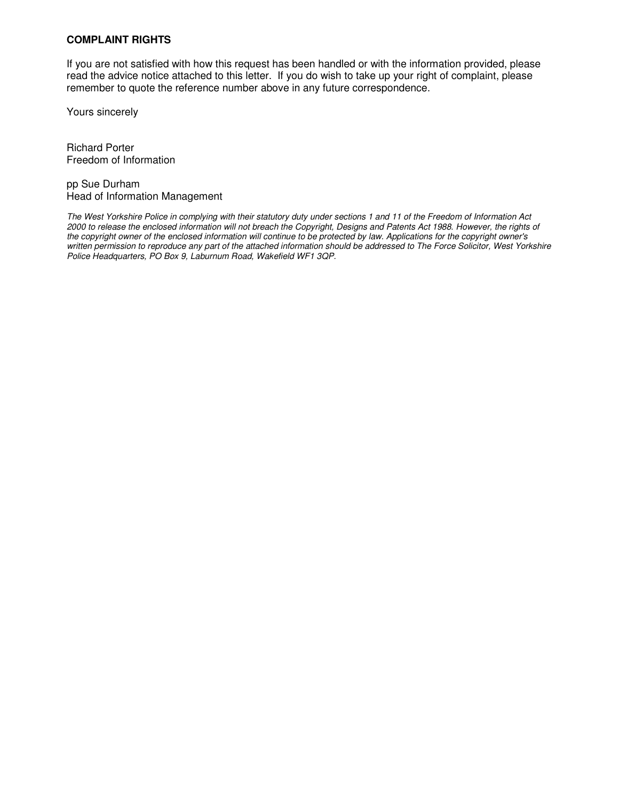# **COMPLAINT RIGHTS**

If you are not satisfied with how this request has been handled or with the information provided, please read the advice notice attached to this letter. If you do wish to take up your right of complaint, please remember to quote the reference number above in any future correspondence.

Yours sincerely

Richard Porter Freedom of Information

pp Sue Durham Head of Information Management

The West Yorkshire Police in complying with their statutory duty under sections 1 and 11 of the Freedom of Information Act 2000 to release the enclosed information will not breach the Copyright, Designs and Patents Act 1988. However, the rights of the copyright owner of the enclosed information will continue to be protected by law. Applications for the copyright owner's written permission to reproduce any part of the attached information should be addressed to The Force Solicitor, West Yorkshire Police Headquarters, PO Box 9, Laburnum Road, Wakefield WF1 3QP.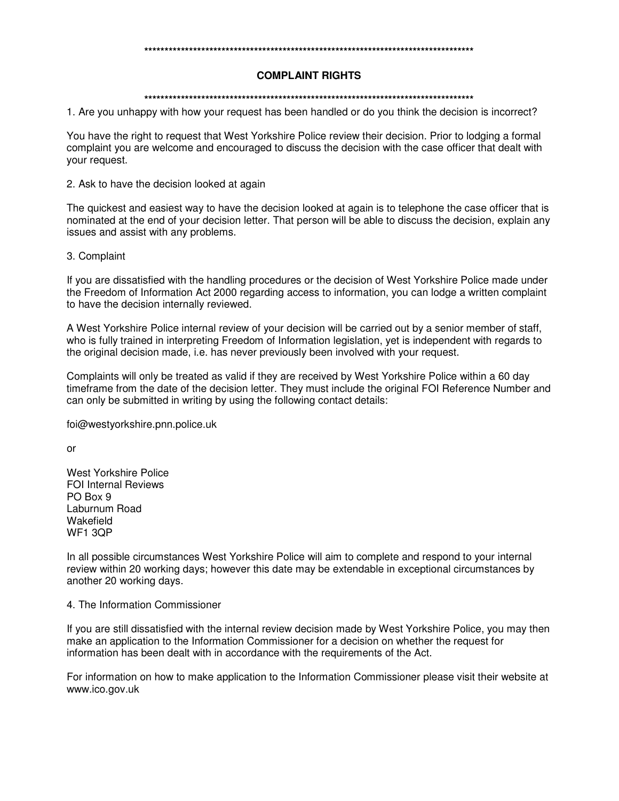#### **\*\*\*\*\*\*\*\*\*\*\*\*\*\*\*\*\*\*\*\*\*\*\*\*\*\*\*\*\*\*\*\*\*\*\*\*\*\*\*\*\*\*\*\*\*\*\*\*\*\*\*\*\*\*\*\*\*\*\*\*\*\*\*\*\*\*\*\*\*\*\*\*\*\*\*\*\*\*\*\*\***

### **COMPLAINT RIGHTS**

### **\*\*\*\*\*\*\*\*\*\*\*\*\*\*\*\*\*\*\*\*\*\*\*\*\*\*\*\*\*\*\*\*\*\*\*\*\*\*\*\*\*\*\*\*\*\*\*\*\*\*\*\*\*\*\*\*\*\*\*\*\*\*\*\*\*\*\*\*\*\*\*\*\*\*\*\*\*\*\*\*\***

1. Are you unhappy with how your request has been handled or do you think the decision is incorrect?

You have the right to request that West Yorkshire Police review their decision. Prior to lodging a formal complaint you are welcome and encouraged to discuss the decision with the case officer that dealt with your request.

2. Ask to have the decision looked at again

The quickest and easiest way to have the decision looked at again is to telephone the case officer that is nominated at the end of your decision letter. That person will be able to discuss the decision, explain any issues and assist with any problems.

## 3. Complaint

If you are dissatisfied with the handling procedures or the decision of West Yorkshire Police made under the Freedom of Information Act 2000 regarding access to information, you can lodge a written complaint to have the decision internally reviewed.

A West Yorkshire Police internal review of your decision will be carried out by a senior member of staff, who is fully trained in interpreting Freedom of Information legislation, yet is independent with regards to the original decision made, i.e. has never previously been involved with your request.

Complaints will only be treated as valid if they are received by West Yorkshire Police within a 60 day timeframe from the date of the decision letter. They must include the original FOI Reference Number and can only be submitted in writing by using the following contact details:

foi@westyorkshire.pnn.police.uk

or

West Yorkshire Police FOI Internal Reviews PO Box 9 Laburnum Road Wakefield WF1 3QP

In all possible circumstances West Yorkshire Police will aim to complete and respond to your internal review within 20 working days; however this date may be extendable in exceptional circumstances by another 20 working days.

## 4. The Information Commissioner

If you are still dissatisfied with the internal review decision made by West Yorkshire Police, you may then make an application to the Information Commissioner for a decision on whether the request for information has been dealt with in accordance with the requirements of the Act.

For information on how to make application to the Information Commissioner please visit their website at www.ico.gov.uk